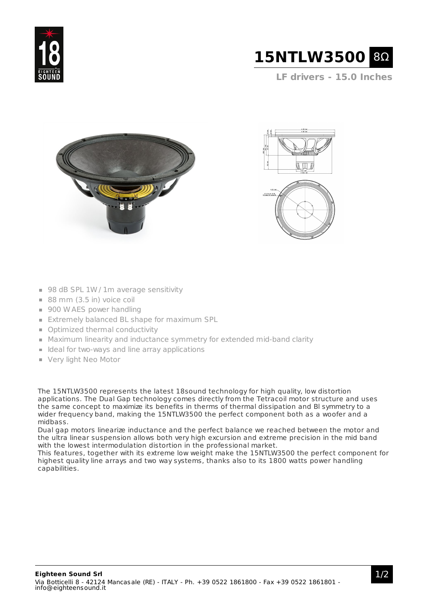



**LF drivers - 15.0 Inches**







- 98 dB SPL 1W / 1m average sensitivity
- $88$  mm (3.5 in) voice coil
- 900 W AES power handling
- **Extremely balanced BL shape for maximum SPL**
- **Optimized thermal conductivity**
- Maximum linearity and inductance symmetry for extended mid-band clarity
- $\blacksquare$  Ideal for two-ways and line array applications
- Very light Neo Motor

The 15NTLW3500 represents the latest 18sound technology for high quality, low distortion applications. The Dual Gap technology comes directly from the Tetracoil motor structure and uses the same concept to maximize its benefits in therms of thermal dissipation and Bl symmetry to a wider frequency band, making the 15NTLW3500 the perfect component both as a woofer and a midbass.

Dual gap motors linearize inductance and the perfect balance we reached between the motor and the ultra linear suspension allows both very high excursion and extreme precision in the mid band with the lowest intermodulation distortion in the professional market.

This features, together with its extreme low weight make the 15NTLW3500 the perfect component for highest quality line arrays and two way systems, thanks also to its 1800 watts power handling capabilities.